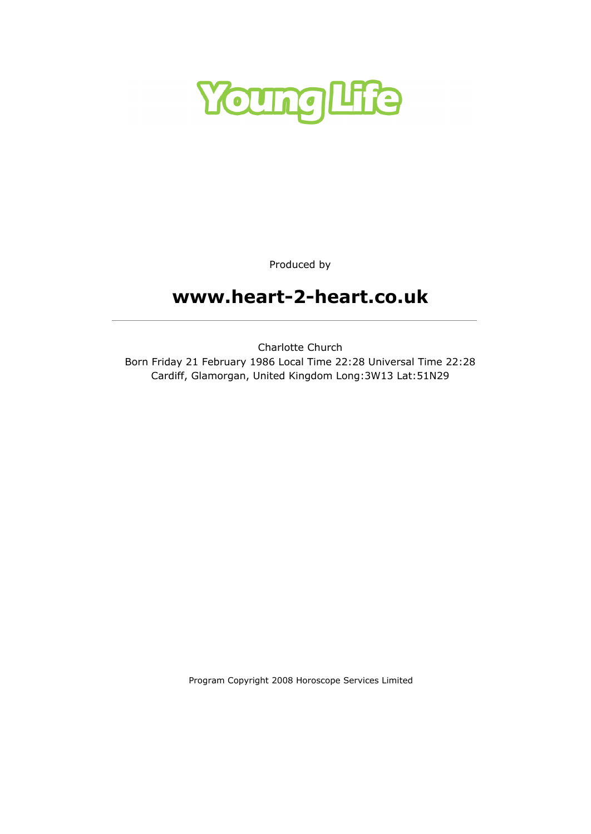

Produced by

# www.heart-2-heart.co.uk

Charlotte Church Born Friday 21 February 1986 Local Time 22:28 Universal Time 22:28 Cardiff, Glamorgan, United Kingdom Long:3W13 Lat:51N29

Program Copyright 2008 Horoscope Services Limited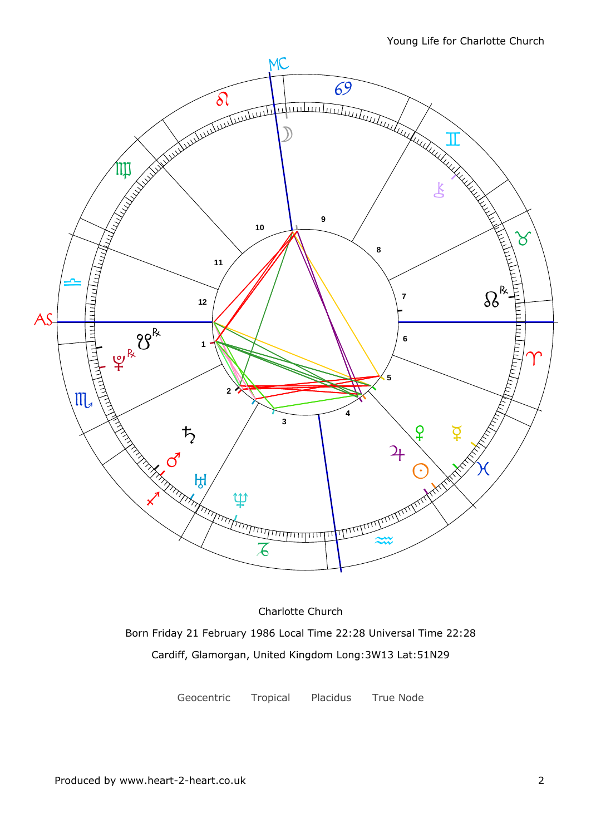

Charlotte Church Born Friday 21 February 1986 Local Time 22:28 Universal Time 22:28 Cardiff, Glamorgan, United Kingdom Long:3W13 Lat:51N29

Geocentric Tropical Placidus True Node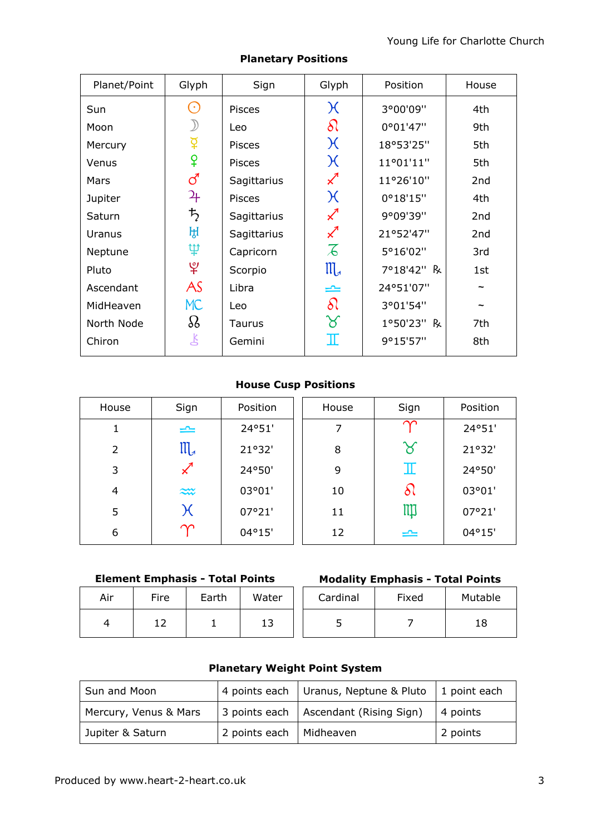| Planet/Point | Glyph                | Sign          | Glyph                              | Position   | House |
|--------------|----------------------|---------------|------------------------------------|------------|-------|
| Sun          | $(\cdot)$            | <b>Pisces</b> | $\chi$                             | 3°00'09"   | 4th   |
| Moon         |                      | Leo           | $\delta\Omega$                     | 0°01'47"   | 9th   |
| Mercury      | $\breve{\mathrm{Q}}$ | Pisces        | $\chi$                             | 18°53'25"  | 5th   |
| Venus        | ¥                    | <b>Pisces</b> | $\chi$                             | 11°01'11"  | 5th   |
| Mars         | ්                    | Sagittarius   | $\boldsymbol{\mathcal{K}}$         | 11°26'10"  | 2nd   |
| Jupiter      | ᡩ                    | <b>Pisces</b> | $\chi$                             | 0°18'15"   | 4th   |
| Saturn       | $\bm{\ddot{5}}$      | Sagittarius   | $\boldsymbol{\mathcal{Z}}$         | 9°09'39"   | 2nd   |
| Uranus       | ਸ਼੍ਰ                 | Sagittarius   | $\chi$ <sup><math>\pi</math></sup> | 21°52'47"  | 2nd   |
| Neptune      | ψ                    | Capricorn     | $\overline{\mathcal{A}}$           | 5°16'02"   | 3rd   |
| Pluto        | $\mathfrak{P}$       | Scorpio       | $III_{d}$                          | 7°18'42" R | 1st   |
| Ascendant    | AS                   | Libra         | ≏                                  | 24°51'07"  |       |
| MidHeaven    | <b>MC</b>            | Leo           | $\delta$                           | 3°01'54"   |       |
| North Node   | $\Omega$             | Taurus        | $\aleph$                           | 1°50'23" R | 7th   |
| Chiron       | Ľ                    | Gemini        | $\mathbb I$                        | 9°15'57"   | 8th   |

### Planetary Positions

### House Cusp Positions

| House | Sign      | Position | House | Sign       | Position |
|-------|-----------|----------|-------|------------|----------|
| 1     | $\equiv$  | 24°51'   | 7     | $\sim$     | 24°51'   |
| 2     | $III_{d}$ | 21°32'   | 8     | ୪          | 21°32'   |
| 3     | $\chi^4$  | 24°50'   | 9     | Ш          | 24°50'   |
| 4     | $\approx$ | 03°01'   | 10    | $\delta l$ | 03°01'   |
| 5     | $\chi$    | 07°21'   | 11    | IIII       | 07°21'   |
| 6     | $\infty$  | 04°15'   | 12    | ≃          | 04°15'   |

### Element Emphasis - Total Points

| Air | Fire | Earth | Water | Card |
|-----|------|-------|-------|------|
|     |      |       | 13    |      |

| ire <sup>.</sup> | Earth | Water    | Cardinal | Fixed | Mutable |
|------------------|-------|----------|----------|-------|---------|
| ᅩ                |       | 1 つ<br>∸ |          |       | 18      |

### Planetary Weight Point System

| Sun and Moon          |                           | 4 points each Uranus, Neptune & Pluto $\vert$ 1 point each |             |
|-----------------------|---------------------------|------------------------------------------------------------|-------------|
| Mercury, Venus & Mars |                           | 3 points each   Ascendant (Rising Sign)                    | $ 4$ points |
| Jupiter & Saturn      | 2 points each   Midheaven |                                                            | 2 points    |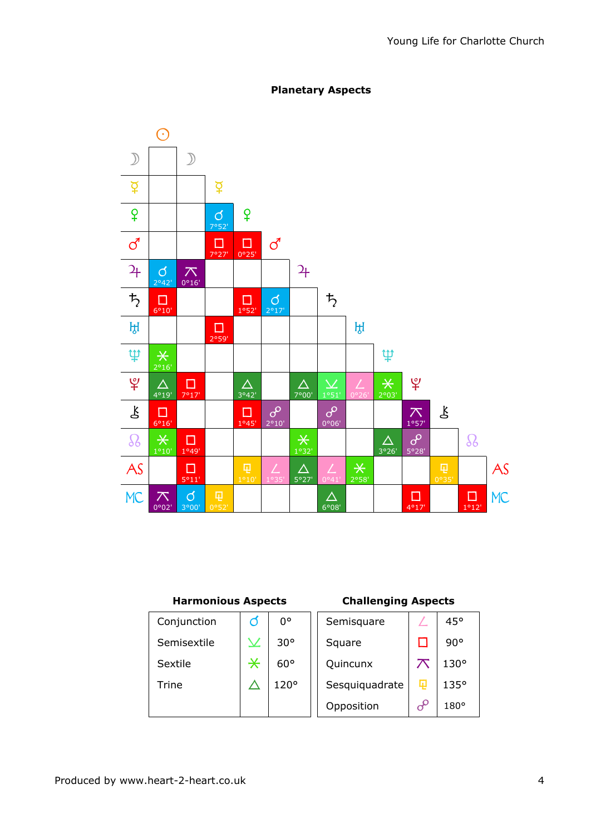

### Planetary Aspects

#### Harmonious Aspects Challenging Aspects

| Conjunction | Ø                 | O۰           | Semisquare     |   | 45°          |
|-------------|-------------------|--------------|----------------|---|--------------|
| Semisextile |                   | $30^{\circ}$ | Square         |   | $90^{\circ}$ |
| Sextile     | $\overline{\ast}$ | $60^{\circ}$ | Quincunx       |   | $130^\circ$  |
| Trine       |                   | 120°         | Sesquiquadrate | 曱 | 135°         |
|             |                   |              | Opposition     |   | $180^\circ$  |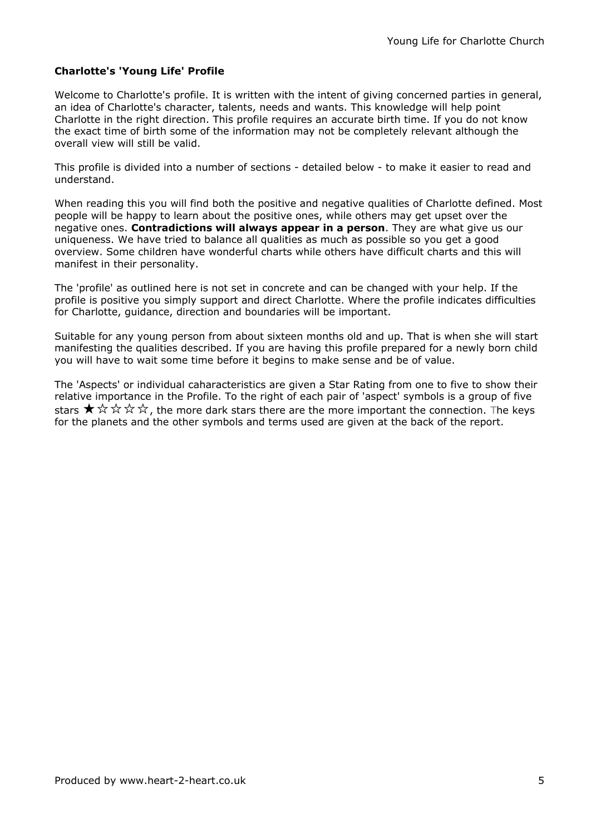#### Charlotte's 'Young Life' Profile

Welcome to Charlotte's profile. It is written with the intent of giving concerned parties in general, an idea of Charlotte's character, talents, needs and wants. This knowledge will help point Charlotte in the right direction. This profile requires an accurate birth time. If you do not know the exact time of birth some of the information may not be completely relevant although the overall view will still be valid.

This profile is divided into a number of sections - detailed below - to make it easier to read and understand.

When reading this you will find both the positive and negative qualities of Charlotte defined. Most people will be happy to learn about the positive ones, while others may get upset over the negative ones. Contradictions will always appear in a person. They are what give us our uniqueness. We have tried to balance all qualities as much as possible so you get a good overview. Some children have wonderful charts while others have difficult charts and this will manifest in their personality.

The 'profile' as outlined here is not set in concrete and can be changed with your help. If the profile is positive you simply support and direct Charlotte. Where the profile indicates difficulties for Charlotte, guidance, direction and boundaries will be important.

Suitable for any young person from about sixteen months old and up. That is when she will start manifesting the qualities described. If you are having this profile prepared for a newly born child you will have to wait some time before it begins to make sense and be of value.

The 'Aspects' or individual caharacteristics are given a Star Rating from one to five to show their relative importance in the Profile. To the right of each pair of 'aspect' symbols is a group of five stars  $\star \lor \lor \lor \lor \lor$  the more dark stars there are the more important the connection. The keys for the planets and the other symbols and terms used are given at the back of the report.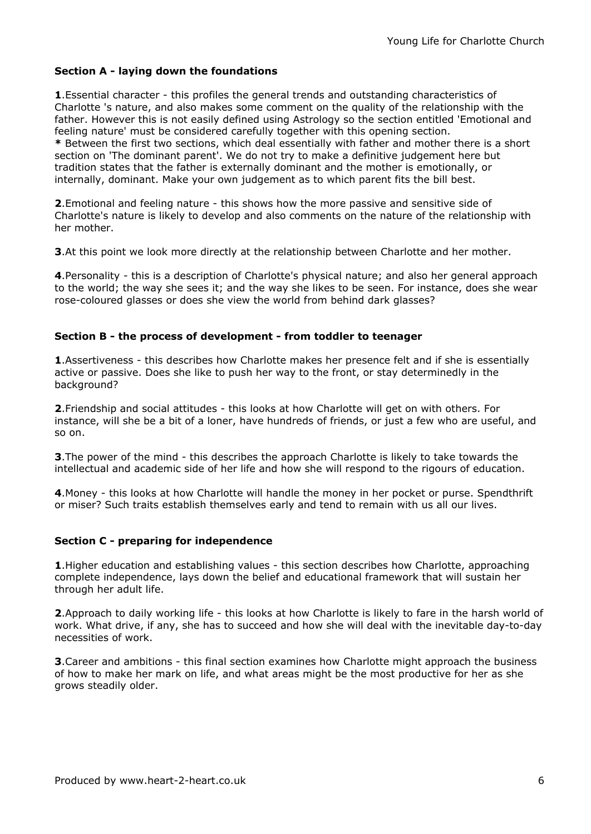#### Section A - laying down the foundations

1. Essential character - this profiles the general trends and outstanding characteristics of Charlotte 's nature, and also makes some comment on the quality of the relationship with the father. However this is not easily defined using Astrology so the section entitled 'Emotional and feeling nature' must be considered carefully together with this opening section.

\* Between the first two sections, which deal essentially with father and mother there is a short section on 'The dominant parent'. We do not try to make a definitive judgement here but tradition states that the father is externally dominant and the mother is emotionally, or internally, dominant. Make your own judgement as to which parent fits the bill best.

2.Emotional and feeling nature - this shows how the more passive and sensitive side of Charlotte's nature is likely to develop and also comments on the nature of the relationship with her mother.

**3.** At this point we look more directly at the relationship between Charlotte and her mother.

4.Personality - this is a description of Charlotte's physical nature; and also her general approach to the world; the way she sees it; and the way she likes to be seen. For instance, does she wear rose-coloured glasses or does she view the world from behind dark glasses?

#### Section B - the process of development - from toddler to teenager

**1.** Assertiveness - this describes how Charlotte makes her presence felt and if she is essentially active or passive. Does she like to push her way to the front, or stay determinedly in the background?

2.Friendship and social attitudes - this looks at how Charlotte will get on with others. For instance, will she be a bit of a loner, have hundreds of friends, or just a few who are useful, and so on.

**3.** The power of the mind - this describes the approach Charlotte is likely to take towards the intellectual and academic side of her life and how she will respond to the rigours of education.

4. Money - this looks at how Charlotte will handle the money in her pocket or purse. Spendthrift or miser? Such traits establish themselves early and tend to remain with us all our lives.

#### Section C - preparing for independence

**1.** Higher education and establishing values - this section describes how Charlotte, approaching complete independence, lays down the belief and educational framework that will sustain her through her adult life.

2.Approach to daily working life - this looks at how Charlotte is likely to fare in the harsh world of work. What drive, if any, she has to succeed and how she will deal with the inevitable day-to-day necessities of work.

**3.** Career and ambitions - this final section examines how Charlotte might approach the business of how to make her mark on life, and what areas might be the most productive for her as she grows steadily older.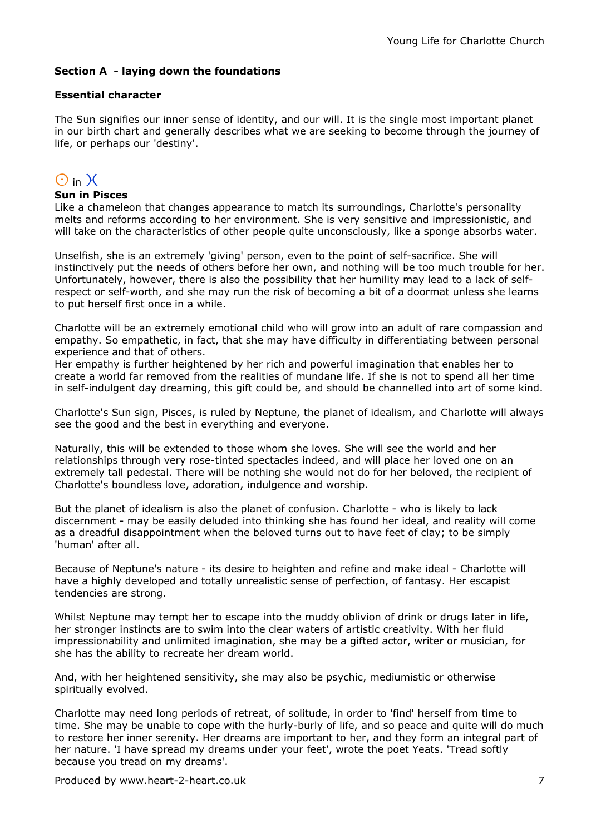#### Section A - laying down the foundations

#### Essential character

The Sun signifies our inner sense of identity, and our will. It is the single most important planet in our birth chart and generally describes what we are seeking to become through the journey of life, or perhaps our 'destiny'.

## $\bigcirc$  in  $\chi$

#### Sun in Pisces

Like a chameleon that changes appearance to match its surroundings, Charlotte's personality melts and reforms according to her environment. She is very sensitive and impressionistic, and will take on the characteristics of other people quite unconsciously, like a sponge absorbs water.

Unselfish, she is an extremely 'giving' person, even to the point of self-sacrifice. She will instinctively put the needs of others before her own, and nothing will be too much trouble for her. Unfortunately, however, there is also the possibility that her humility may lead to a lack of selfrespect or self-worth, and she may run the risk of becoming a bit of a doormat unless she learns to put herself first once in a while.

Charlotte will be an extremely emotional child who will grow into an adult of rare compassion and empathy. So empathetic, in fact, that she may have difficulty in differentiating between personal experience and that of others.

Her empathy is further heightened by her rich and powerful imagination that enables her to create a world far removed from the realities of mundane life. If she is not to spend all her time in self-indulgent day dreaming, this gift could be, and should be channelled into art of some kind.

Charlotte's Sun sign, Pisces, is ruled by Neptune, the planet of idealism, and Charlotte will always see the good and the best in everything and everyone.

Naturally, this will be extended to those whom she loves. She will see the world and her relationships through very rose-tinted spectacles indeed, and will place her loved one on an extremely tall pedestal. There will be nothing she would not do for her beloved, the recipient of Charlotte's boundless love, adoration, indulgence and worship.

But the planet of idealism is also the planet of confusion. Charlotte - who is likely to lack discernment - may be easily deluded into thinking she has found her ideal, and reality will come as a dreadful disappointment when the beloved turns out to have feet of clay; to be simply 'human' after all.

Because of Neptune's nature - its desire to heighten and refine and make ideal - Charlotte will have a highly developed and totally unrealistic sense of perfection, of fantasy. Her escapist tendencies are strong.

Whilst Neptune may tempt her to escape into the muddy oblivion of drink or drugs later in life, her stronger instincts are to swim into the clear waters of artistic creativity. With her fluid impressionability and unlimited imagination, she may be a gifted actor, writer or musician, for she has the ability to recreate her dream world.

And, with her heightened sensitivity, she may also be psychic, mediumistic or otherwise spiritually evolved.

Charlotte may need long periods of retreat, of solitude, in order to 'find' herself from time to time. She may be unable to cope with the hurly-burly of life, and so peace and quite will do much to restore her inner serenity. Her dreams are important to her, and they form an integral part of her nature. 'I have spread my dreams under your feet', wrote the poet Yeats. 'Tread softly because you tread on my dreams'.

Produced by www.heart-2-heart.co.uk 7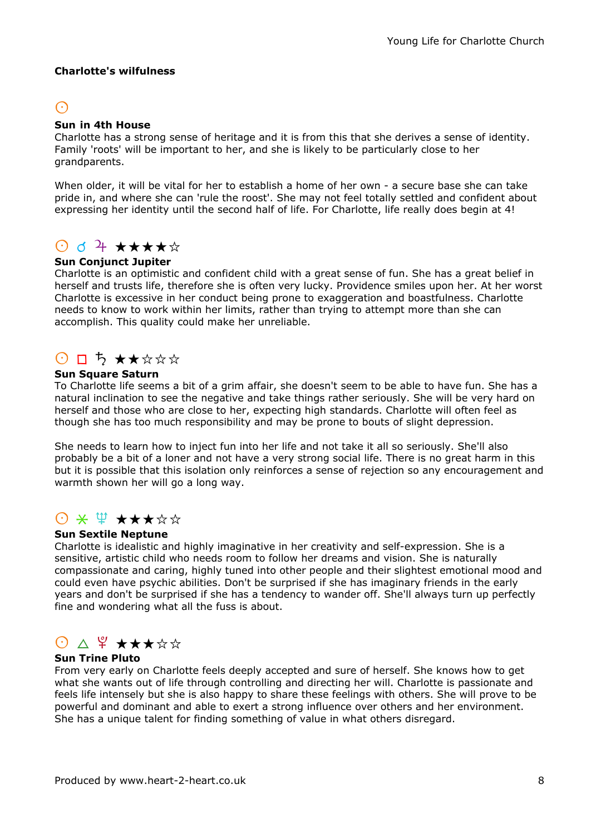#### Charlotte's wilfulness

## $\odot$

#### Sun in 4th House

Charlotte has a strong sense of heritage and it is from this that she derives a sense of identity. Family 'roots' will be important to her, and she is likely to be particularly close to her grandparents.

When older, it will be vital for her to establish a home of her own - a secure base she can take pride in, and where she can 'rule the roost'. She may not feel totally settled and confident about expressing her identity until the second half of life. For Charlotte, life really does begin at 4!

## $\odot$  d + \*\*\*\*\*

#### Sun Conjunct Jupiter

Charlotte is an optimistic and confident child with a great sense of fun. She has a great belief in herself and trusts life, therefore she is often very lucky. Providence smiles upon her. At her worst Charlotte is excessive in her conduct being prone to exaggeration and boastfulness. Charlotte needs to know to work within her limits, rather than trying to attempt more than she can accomplish. This quality could make her unreliable.

## $O$   $\Box$   $\rightarrow$   $\star$   $\star$   $\star$   $\star$   $\star$

#### Sun Square Saturn

To Charlotte life seems a bit of a grim affair, she doesn't seem to be able to have fun. She has a natural inclination to see the negative and take things rather seriously. She will be very hard on herself and those who are close to her, expecting high standards. Charlotte will often feel as though she has too much responsibility and may be prone to bouts of slight depression.

She needs to learn how to inject fun into her life and not take it all so seriously. She'll also probably be a bit of a loner and not have a very strong social life. There is no great harm in this but it is possible that this isolation only reinforces a sense of rejection so any encouragement and warmth shown her will go a long way.

## $\Theta$  \*  $\mathfrak{P}$  \* \* \* \* \* \*

#### Sun Sextile Neptune

Charlotte is idealistic and highly imaginative in her creativity and self-expression. She is a sensitive, artistic child who needs room to follow her dreams and vision. She is naturally compassionate and caring, highly tuned into other people and their slightest emotional mood and could even have psychic abilities. Don't be surprised if she has imaginary friends in the early years and don't be surprised if she has a tendency to wander off. She'll always turn up perfectly fine and wondering what all the fuss is about.

# $0 \wedge 4 \star \star \star \star \star$

#### Sun Trine Pluto

From very early on Charlotte feels deeply accepted and sure of herself. She knows how to get what she wants out of life through controlling and directing her will. Charlotte is passionate and feels life intensely but she is also happy to share these feelings with others. She will prove to be powerful and dominant and able to exert a strong influence over others and her environment. She has a unique talent for finding something of value in what others disregard.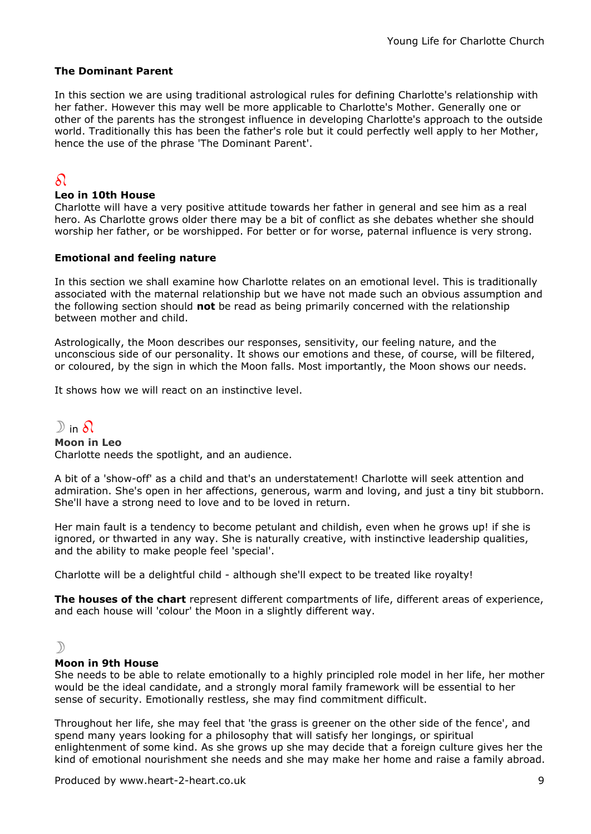#### The Dominant Parent

In this section we are using traditional astrological rules for defining Charlotte's relationship with her father. However this may well be more applicable to Charlotte's Mother. Generally one or other of the parents has the strongest influence in developing Charlotte's approach to the outside world. Traditionally this has been the father's role but it could perfectly well apply to her Mother, hence the use of the phrase 'The Dominant Parent'.

### $\Omega$

#### Leo in 10th House

Charlotte will have a very positive attitude towards her father in general and see him as a real hero. As Charlotte grows older there may be a bit of conflict as she debates whether she should worship her father, or be worshipped. For better or for worse, paternal influence is very strong.

#### Emotional and feeling nature

In this section we shall examine how Charlotte relates on an emotional level. This is traditionally associated with the maternal relationship but we have not made such an obvious assumption and the following section should not be read as being primarily concerned with the relationship between mother and child.

Astrologically, the Moon describes our responses, sensitivity, our feeling nature, and the unconscious side of our personality. It shows our emotions and these, of course, will be filtered, or coloured, by the sign in which the Moon falls. Most importantly, the Moon shows our needs.

It shows how we will react on an instinctive level.

## $D$  in  $\Omega$

Moon in Leo Charlotte needs the spotlight, and an audience.

A bit of a 'show-off' as a child and that's an understatement! Charlotte will seek attention and admiration. She's open in her affections, generous, warm and loving, and just a tiny bit stubborn. She'll have a strong need to love and to be loved in return.

Her main fault is a tendency to become petulant and childish, even when he grows up! if she is ignored, or thwarted in any way. She is naturally creative, with instinctive leadership qualities, and the ability to make people feel 'special'.

Charlotte will be a delightful child - although she'll expect to be treated like royalty!

The houses of the chart represent different compartments of life, different areas of experience, and each house will 'colour' the Moon in a slightly different way.

#### $\mathcal{D}$

#### Moon in 9th House

She needs to be able to relate emotionally to a highly principled role model in her life, her mother would be the ideal candidate, and a strongly moral family framework will be essential to her sense of security. Emotionally restless, she may find commitment difficult.

Throughout her life, she may feel that 'the grass is greener on the other side of the fence', and spend many years looking for a philosophy that will satisfy her longings, or spiritual enlightenment of some kind. As she grows up she may decide that a foreign culture gives her the kind of emotional nourishment she needs and she may make her home and raise a family abroad.

Produced by www.heart-2-heart.co.uk 9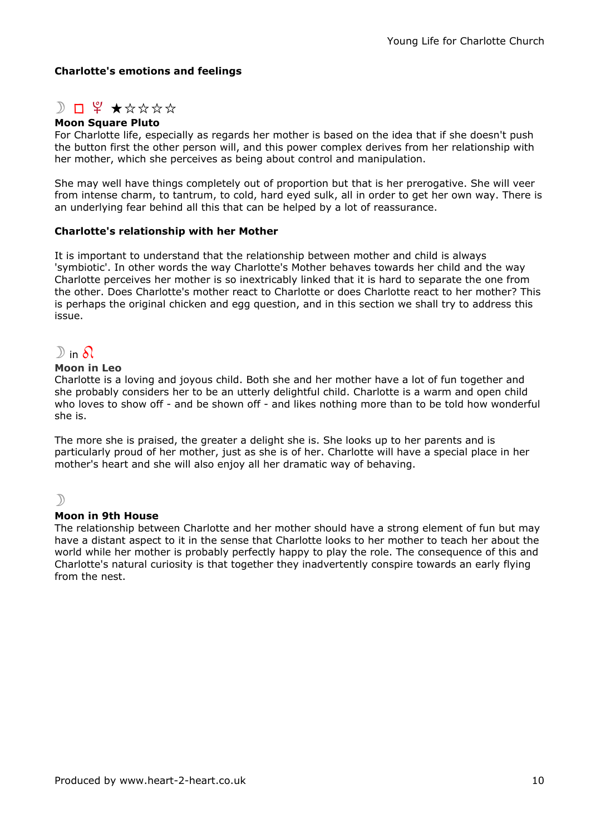#### Charlotte's emotions and feelings

## $D \Box$   $\Psi$   $\star$  \* \* \* \* \*

#### Moon Square Pluto

For Charlotte life, especially as regards her mother is based on the idea that if she doesn't push the button first the other person will, and this power complex derives from her relationship with her mother, which she perceives as being about control and manipulation.

She may well have things completely out of proportion but that is her prerogative. She will veer from intense charm, to tantrum, to cold, hard eyed sulk, all in order to get her own way. There is an underlying fear behind all this that can be helped by a lot of reassurance.

#### Charlotte's relationship with her Mother

It is important to understand that the relationship between mother and child is always 'symbiotic'. In other words the way Charlotte's Mother behaves towards her child and the way Charlotte perceives her mother is so inextricably linked that it is hard to separate the one from the other. Does Charlotte's mother react to Charlotte or does Charlotte react to her mother? This is perhaps the original chicken and egg question, and in this section we shall try to address this issue.

### $\mathbb{D}$  in  $\Omega$

#### Moon in Leo

Charlotte is a loving and joyous child. Both she and her mother have a lot of fun together and she probably considers her to be an utterly delightful child. Charlotte is a warm and open child who loves to show off - and be shown off - and likes nothing more than to be told how wonderful she is.

The more she is praised, the greater a delight she is. She looks up to her parents and is particularly proud of her mother, just as she is of her. Charlotte will have a special place in her mother's heart and she will also enjoy all her dramatic way of behaving.

#### $\mathcal{L}$

#### Moon in 9th House

The relationship between Charlotte and her mother should have a strong element of fun but may have a distant aspect to it in the sense that Charlotte looks to her mother to teach her about the world while her mother is probably perfectly happy to play the role. The consequence of this and Charlotte's natural curiosity is that together they inadvertently conspire towards an early flying from the nest.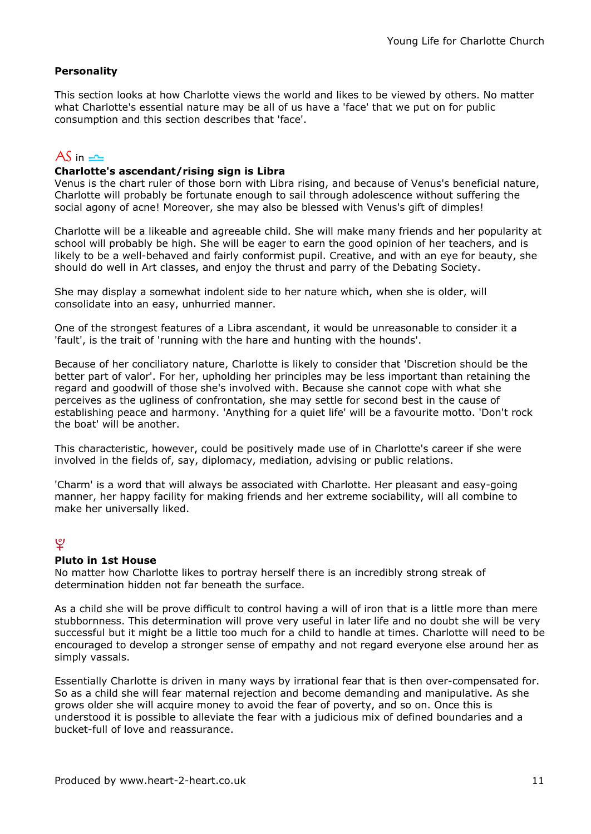#### **Personality**

This section looks at how Charlotte views the world and likes to be viewed by others. No matter what Charlotte's essential nature may be all of us have a 'face' that we put on for public consumption and this section describes that 'face'.

### $AS$  in  $\equiv$

#### Charlotte's ascendant/rising sign is Libra

Venus is the chart ruler of those born with Libra rising, and because of Venus's beneficial nature, Charlotte will probably be fortunate enough to sail through adolescence without suffering the social agony of acne! Moreover, she may also be blessed with Venus's gift of dimples!

Charlotte will be a likeable and agreeable child. She will make many friends and her popularity at school will probably be high. She will be eager to earn the good opinion of her teachers, and is likely to be a well-behaved and fairly conformist pupil. Creative, and with an eye for beauty, she should do well in Art classes, and enjoy the thrust and parry of the Debating Society.

She may display a somewhat indolent side to her nature which, when she is older, will consolidate into an easy, unhurried manner.

One of the strongest features of a Libra ascendant, it would be unreasonable to consider it a 'fault', is the trait of 'running with the hare and hunting with the hounds'.

Because of her conciliatory nature, Charlotte is likely to consider that 'Discretion should be the better part of valor'. For her, upholding her principles may be less important than retaining the regard and goodwill of those she's involved with. Because she cannot cope with what she perceives as the ugliness of confrontation, she may settle for second best in the cause of establishing peace and harmony. 'Anything for a quiet life' will be a favourite motto. 'Don't rock the boat' will be another.

This characteristic, however, could be positively made use of in Charlotte's career if she were involved in the fields of, say, diplomacy, mediation, advising or public relations.

'Charm' is a word that will always be associated with Charlotte. Her pleasant and easy-going manner, her happy facility for making friends and her extreme sociability, will all combine to make her universally liked.

### $\mathcal{L}$

#### Pluto in 1st House

No matter how Charlotte likes to portray herself there is an incredibly strong streak of determination hidden not far beneath the surface.

As a child she will be prove difficult to control having a will of iron that is a little more than mere stubbornness. This determination will prove very useful in later life and no doubt she will be very successful but it might be a little too much for a child to handle at times. Charlotte will need to be encouraged to develop a stronger sense of empathy and not regard everyone else around her as simply vassals.

Essentially Charlotte is driven in many ways by irrational fear that is then over-compensated for. So as a child she will fear maternal rejection and become demanding and manipulative. As she grows older she will acquire money to avoid the fear of poverty, and so on. Once this is understood it is possible to alleviate the fear with a judicious mix of defined boundaries and a bucket-full of love and reassurance.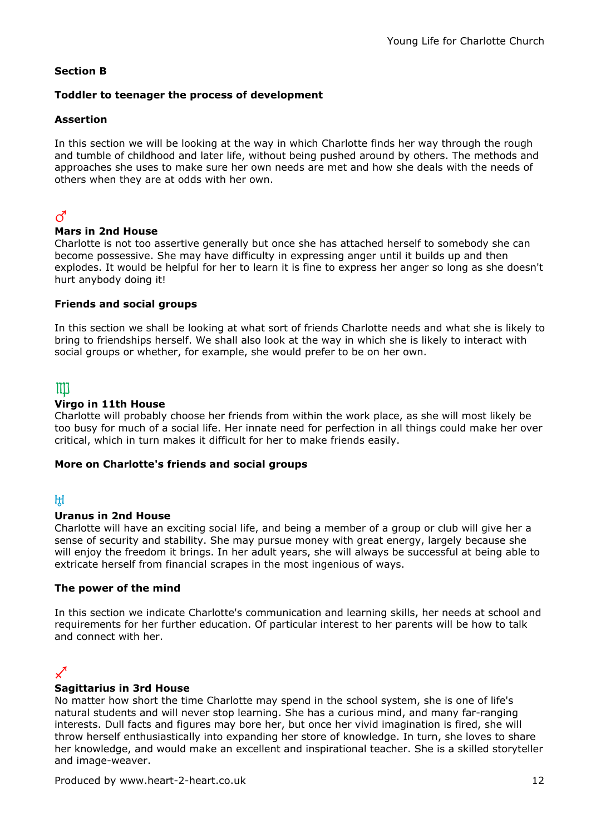#### Section B

#### Toddler to teenager the process of development

#### Assertion

In this section we will be looking at the way in which Charlotte finds her way through the rough and tumble of childhood and later life, without being pushed around by others. The methods and approaches she uses to make sure her own needs are met and how she deals with the needs of others when they are at odds with her own.

## $\vec{C}$

#### Mars in 2nd House

Charlotte is not too assertive generally but once she has attached herself to somebody she can become possessive. She may have difficulty in expressing anger until it builds up and then explodes. It would be helpful for her to learn it is fine to express her anger so long as she doesn't hurt anybody doing it!

#### Friends and social groups

In this section we shall be looking at what sort of friends Charlotte needs and what she is likely to bring to friendships herself. We shall also look at the way in which she is likely to interact with social groups or whether, for example, she would prefer to be on her own.

## $\mathbf{m}$

#### Virgo in 11th House

Charlotte will probably choose her friends from within the work place, as she will most likely be too busy for much of a social life. Her innate need for perfection in all things could make her over critical, which in turn makes it difficult for her to make friends easily.

#### More on Charlotte's friends and social groups

### $H$

#### Uranus in 2nd House

Charlotte will have an exciting social life, and being a member of a group or club will give her a sense of security and stability. She may pursue money with great energy, largely because she will enjoy the freedom it brings. In her adult years, she will always be successful at being able to extricate herself from financial scrapes in the most ingenious of ways.

#### The power of the mind

In this section we indicate Charlotte's communication and learning skills, her needs at school and requirements for her further education. Of particular interest to her parents will be how to talk and connect with her.

### $\boldsymbol{\mathscr{L}}$

#### Sagittarius in 3rd House

No matter how short the time Charlotte may spend in the school system, she is one of life's natural students and will never stop learning. She has a curious mind, and many far-ranging interests. Dull facts and figures may bore her, but once her vivid imagination is fired, she will throw herself enthusiastically into expanding her store of knowledge. In turn, she loves to share her knowledge, and would make an excellent and inspirational teacher. She is a skilled storyteller and image-weaver.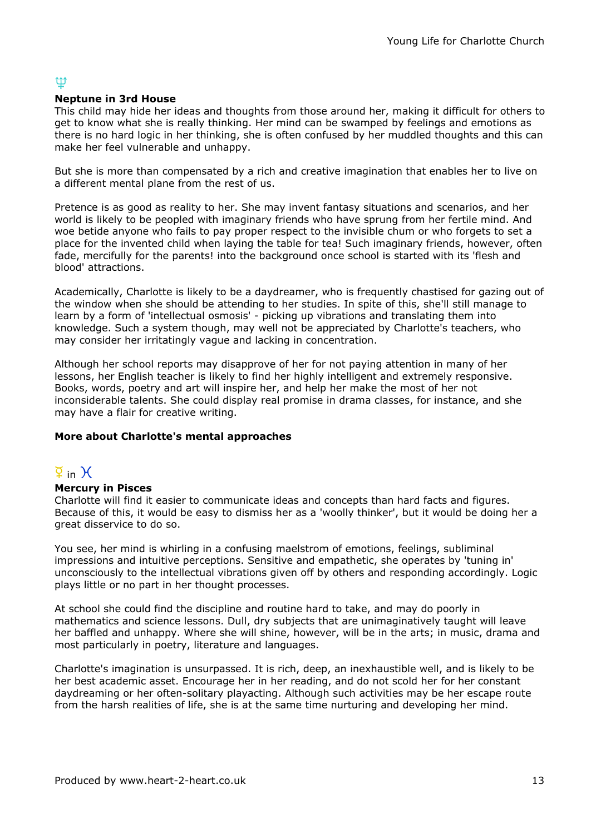## tt

#### Neptune in 3rd House

This child may hide her ideas and thoughts from those around her, making it difficult for others to get to know what she is really thinking. Her mind can be swamped by feelings and emotions as there is no hard logic in her thinking, she is often confused by her muddled thoughts and this can make her feel vulnerable and unhappy.

But she is more than compensated by a rich and creative imagination that enables her to live on a different mental plane from the rest of us.

Pretence is as good as reality to her. She may invent fantasy situations and scenarios, and her world is likely to be peopled with imaginary friends who have sprung from her fertile mind. And woe betide anyone who fails to pay proper respect to the invisible chum or who forgets to set a place for the invented child when laying the table for tea! Such imaginary friends, however, often fade, mercifully for the parents! into the background once school is started with its 'flesh and blood' attractions.

Academically, Charlotte is likely to be a daydreamer, who is frequently chastised for gazing out of the window when she should be attending to her studies. In spite of this, she'll still manage to learn by a form of 'intellectual osmosis' - picking up vibrations and translating them into knowledge. Such a system though, may well not be appreciated by Charlotte's teachers, who may consider her irritatingly vague and lacking in concentration.

Although her school reports may disapprove of her for not paying attention in many of her lessons, her English teacher is likely to find her highly intelligent and extremely responsive. Books, words, poetry and art will inspire her, and help her make the most of her not inconsiderable talents. She could display real promise in drama classes, for instance, and she may have a flair for creative writing.

#### More about Charlotte's mental approaches

## $\overline{2}$  in  $\overline{1}$

#### Mercury in Pisces

Charlotte will find it easier to communicate ideas and concepts than hard facts and figures. Because of this, it would be easy to dismiss her as a 'woolly thinker', but it would be doing her a great disservice to do so.

You see, her mind is whirling in a confusing maelstrom of emotions, feelings, subliminal impressions and intuitive perceptions. Sensitive and empathetic, she operates by 'tuning in' unconsciously to the intellectual vibrations given off by others and responding accordingly. Logic plays little or no part in her thought processes.

At school she could find the discipline and routine hard to take, and may do poorly in mathematics and science lessons. Dull, dry subjects that are unimaginatively taught will leave her baffled and unhappy. Where she will shine, however, will be in the arts; in music, drama and most particularly in poetry, literature and languages.

Charlotte's imagination is unsurpassed. It is rich, deep, an inexhaustible well, and is likely to be her best academic asset. Encourage her in her reading, and do not scold her for her constant daydreaming or her often-solitary playacting. Although such activities may be her escape route from the harsh realities of life, she is at the same time nurturing and developing her mind.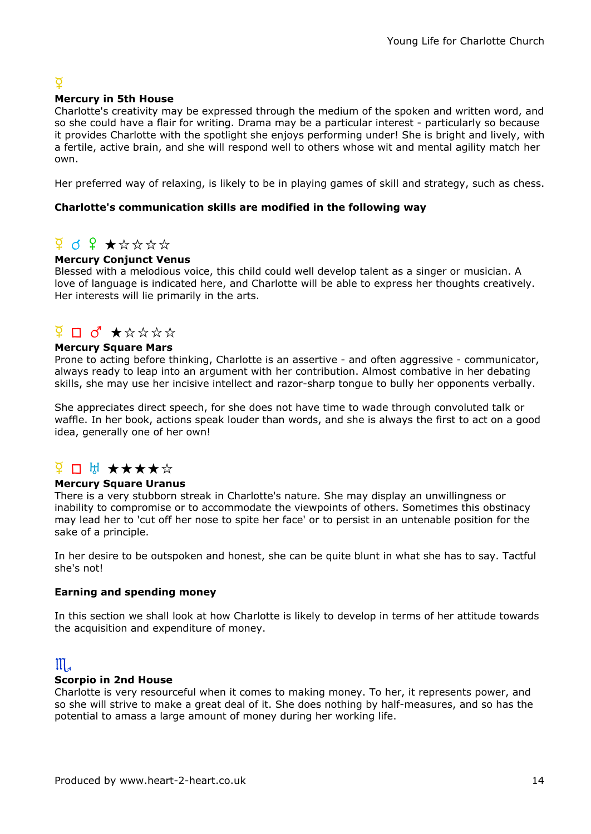## $\overline{Q}$

#### Mercury in 5th House

Charlotte's creativity may be expressed through the medium of the spoken and written word, and so she could have a flair for writing. Drama may be a particular interest - particularly so because it provides Charlotte with the spotlight she enjoys performing under! She is bright and lively, with a fertile, active brain, and she will respond well to others whose wit and mental agility match her own.

Her preferred way of relaxing, is likely to be in playing games of skill and strategy, such as chess.

#### Charlotte's communication skills are modified in the following way

## $9$  d  $9$   $\star$   $\star$   $\star$   $\star$   $\star$

#### Mercury Conjunct Venus

Blessed with a melodious voice, this child could well develop talent as a singer or musician. A love of language is indicated here, and Charlotte will be able to express her thoughts creatively. Her interests will lie primarily in the arts.

## $\overline{9}$  D  $\overline{0}$   $\star$   $\star$   $\star$   $\star$   $\star$

#### Mercury Square Mars

Prone to acting before thinking, Charlotte is an assertive - and often aggressive - communicator, always ready to leap into an argument with her contribution. Almost combative in her debating skills, she may use her incisive intellect and razor-sharp tongue to bully her opponents verbally.

She appreciates direct speech, for she does not have time to wade through convoluted talk or waffle. In her book, actions speak louder than words, and she is always the first to act on a good idea, generally one of her own!

## <del>¥ □ ₩ ★★★★☆</del>

#### Mercury Square Uranus

There is a very stubborn streak in Charlotte's nature. She may display an unwillingness or inability to compromise or to accommodate the viewpoints of others. Sometimes this obstinacy may lead her to 'cut off her nose to spite her face' or to persist in an untenable position for the sake of a principle.

In her desire to be outspoken and honest, she can be quite blunt in what she has to say. Tactful she's not!

#### Earning and spending money

In this section we shall look at how Charlotte is likely to develop in terms of her attitude towards the acquisition and expenditure of money.

## $\mathbb{II}$

#### Scorpio in 2nd House

Charlotte is very resourceful when it comes to making money. To her, it represents power, and so she will strive to make a great deal of it. She does nothing by half-measures, and so has the potential to amass a large amount of money during her working life.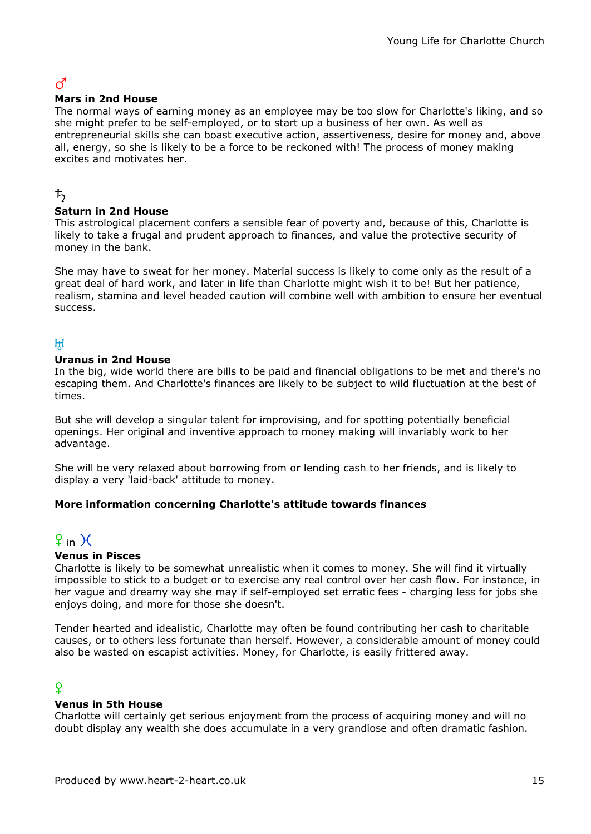## $\vec{C}$

#### Mars in 2nd House

The normal ways of earning money as an employee may be too slow for Charlotte's liking, and so she might prefer to be self-employed, or to start up a business of her own. As well as entrepreneurial skills she can boast executive action, assertiveness, desire for money and, above all, energy, so she is likely to be a force to be reckoned with! The process of money making excites and motivates her.

### ち

#### Saturn in 2nd House

This astrological placement confers a sensible fear of poverty and, because of this, Charlotte is likely to take a frugal and prudent approach to finances, and value the protective security of money in the bank.

She may have to sweat for her money. Material success is likely to come only as the result of a great deal of hard work, and later in life than Charlotte might wish it to be! But her patience, realism, stamina and level headed caution will combine well with ambition to ensure her eventual success.

### $H$

#### Uranus in 2nd House

In the big, wide world there are bills to be paid and financial obligations to be met and there's no escaping them. And Charlotte's finances are likely to be subject to wild fluctuation at the best of times.

But she will develop a singular talent for improvising, and for spotting potentially beneficial openings. Her original and inventive approach to money making will invariably work to her advantage.

She will be very relaxed about borrowing from or lending cash to her friends, and is likely to display a very 'laid-back' attitude to money.

#### More information concerning Charlotte's attitude towards finances

# $9$  in  $H$

#### Venus in Pisces

Charlotte is likely to be somewhat unrealistic when it comes to money. She will find it virtually impossible to stick to a budget or to exercise any real control over her cash flow. For instance, in her vague and dreamy way she may if self-employed set erratic fees - charging less for jobs she enjoys doing, and more for those she doesn't.

Tender hearted and idealistic, Charlotte may often be found contributing her cash to charitable causes, or to others less fortunate than herself. However, a considerable amount of money could also be wasted on escapist activities. Money, for Charlotte, is easily frittered away.

## $\Omega$

#### Venus in 5th House

Charlotte will certainly get serious enjoyment from the process of acquiring money and will no doubt display any wealth she does accumulate in a very grandiose and often dramatic fashion.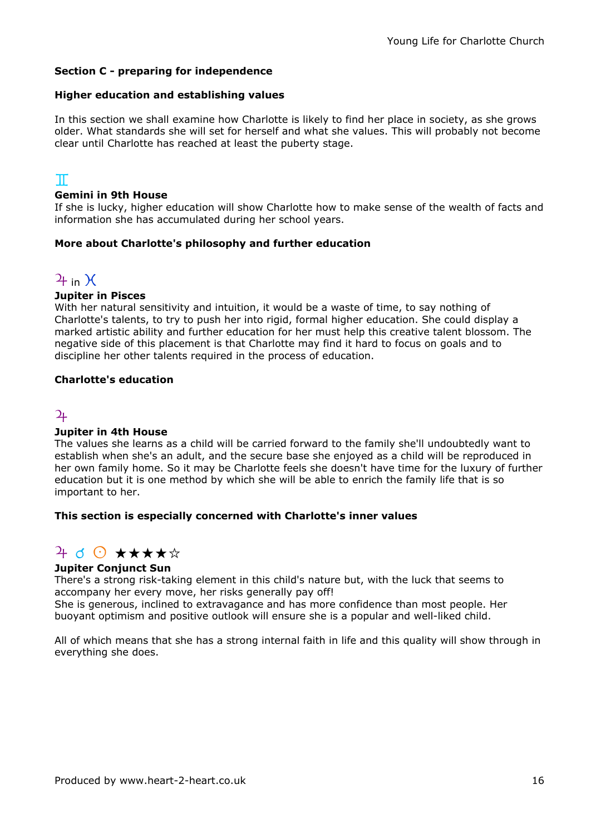#### Section C - preparing for independence

#### Higher education and establishing values

In this section we shall examine how Charlotte is likely to find her place in society, as she grows older. What standards she will set for herself and what she values. This will probably not become clear until Charlotte has reached at least the puberty stage.

### $\mathbb T$

#### Gemini in 9th House

If she is lucky, higher education will show Charlotte how to make sense of the wealth of facts and information she has accumulated during her school years.

#### More about Charlotte's philosophy and further education

## $2f$  in  $\chi$

#### Jupiter in Pisces

With her natural sensitivity and intuition, it would be a waste of time, to say nothing of Charlotte's talents, to try to push her into rigid, formal higher education. She could display a marked artistic ability and further education for her must help this creative talent blossom. The negative side of this placement is that Charlotte may find it hard to focus on goals and to discipline her other talents required in the process of education.

#### Charlotte's education

### $\overline{2}$

#### Jupiter in 4th House

The values she learns as a child will be carried forward to the family she'll undoubtedly want to establish when she's an adult, and the secure base she enjoyed as a child will be reproduced in her own family home. So it may be Charlotte feels she doesn't have time for the luxury of further education but it is one method by which she will be able to enrich the family life that is so important to her.

#### This section is especially concerned with Charlotte's inner values

## $4$  d  $\odot$  \*\*\*\*\*

#### Jupiter Conjunct Sun

There's a strong risk-taking element in this child's nature but, with the luck that seems to accompany her every move, her risks generally pay off!

She is generous, inclined to extravagance and has more confidence than most people. Her buoyant optimism and positive outlook will ensure she is a popular and well-liked child.

All of which means that she has a strong internal faith in life and this quality will show through in everything she does.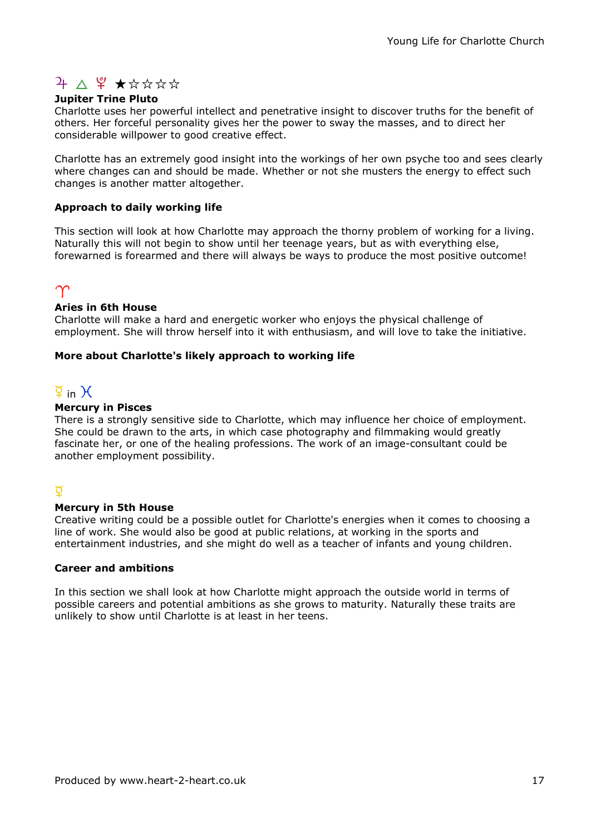# $4 \Delta \frac{9}{4} \star x x x x$

#### Jupiter Trine Pluto

Charlotte uses her powerful intellect and penetrative insight to discover truths for the benefit of others. Her forceful personality gives her the power to sway the masses, and to direct her considerable willpower to good creative effect.

Charlotte has an extremely good insight into the workings of her own psyche too and sees clearly where changes can and should be made. Whether or not she musters the energy to effect such changes is another matter altogether.

#### Approach to daily working life

This section will look at how Charlotte may approach the thorny problem of working for a living. Naturally this will not begin to show until her teenage years, but as with everything else, forewarned is forearmed and there will always be ways to produce the most positive outcome!

## $\gamma$

#### Aries in 6th House

Charlotte will make a hard and energetic worker who enjoys the physical challenge of employment. She will throw herself into it with enthusiasm, and will love to take the initiative.

#### More about Charlotte's likely approach to working life

## $\overline{9}$  in  $\overline{)}$

#### Mercury in Pisces

There is a strongly sensitive side to Charlotte, which may influence her choice of employment. She could be drawn to the arts, in which case photography and filmmaking would greatly fascinate her, or one of the healing professions. The work of an image-consultant could be another employment possibility.

#### $\overline{Q}$

#### Mercury in 5th House

Creative writing could be a possible outlet for Charlotte's energies when it comes to choosing a line of work. She would also be good at public relations, at working in the sports and entertainment industries, and she might do well as a teacher of infants and young children.

#### Career and ambitions

In this section we shall look at how Charlotte might approach the outside world in terms of possible careers and potential ambitions as she grows to maturity. Naturally these traits are unlikely to show until Charlotte is at least in her teens.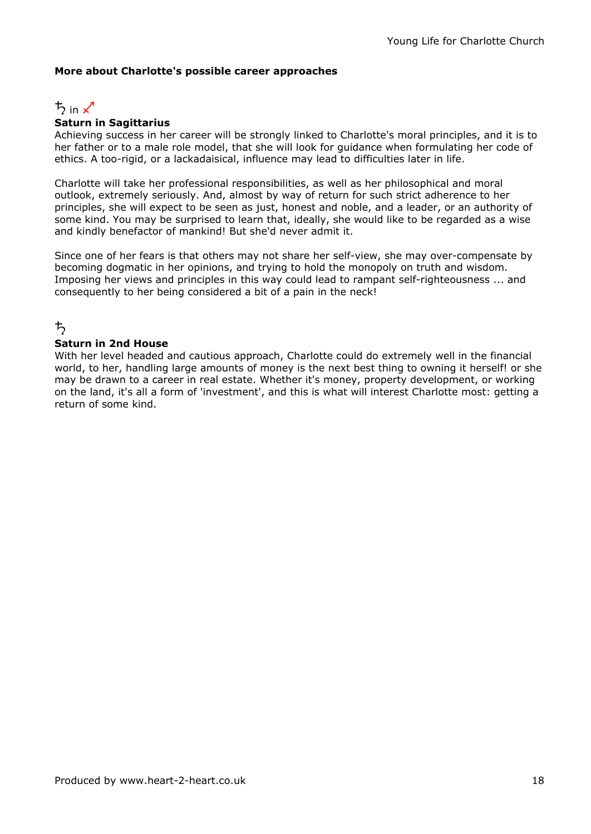#### More about Charlotte's possible career approaches



#### Saturn in Sagittarius

Achieving success in her career will be strongly linked to Charlotte's moral principles, and it is to her father or to a male role model, that she will look for guidance when formulating her code of ethics. A too-rigid, or a lackadaisical, influence may lead to difficulties later in life.

Charlotte will take her professional responsibilities, as well as her philosophical and moral outlook, extremely seriously. And, almost by way of return for such strict adherence to her principles, she will expect to be seen as just, honest and noble, and a leader, or an authority of some kind. You may be surprised to learn that, ideally, she would like to be regarded as a wise and kindly benefactor of mankind! But she'd never admit it.

Since one of her fears is that others may not share her self-view, she may over-compensate by becoming dogmatic in her opinions, and trying to hold the monopoly on truth and wisdom. Imposing her views and principles in this way could lead to rampant self-righteousness ... and consequently to her being considered a bit of a pain in the neck!

## ち

#### Saturn in 2nd House

With her level headed and cautious approach, Charlotte could do extremely well in the financial world, to her, handling large amounts of money is the next best thing to owning it herself! or she may be drawn to a career in real estate. Whether it's money, property development, or working on the land, it's all a form of 'investment', and this is what will interest Charlotte most: getting a return of some kind.